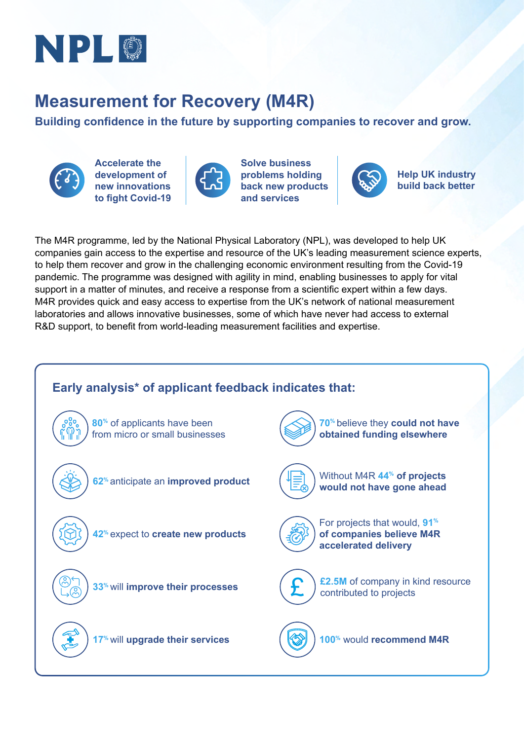

## **Measurement for Recovery (M4R)**

**Building confidence in the future by supporting companies to recover and grow.**



**Accelerate the development of new innovations to fight Covid-19**



**Solve business problems holding back new products and services** 



**Help UK industry build back better**

The M4R programme, led by the National Physical Laboratory (NPL), was developed to help UK companies gain access to the expertise and resource of the UK's leading measurement science experts, to help them recover and grow in the challenging economic environment resulting from the Covid-19 pandemic. The programme was designed with agility in mind, enabling businesses to apply for vital support in a matter of minutes, and receive a response from a scientific expert within a few days. M4R provides quick and easy access to expertise from the UK's network of national measurement laboratories and allows innovative businesses, some of which have never had access to external R&D support, to benefit from world-leading measurement facilities and expertise.

### **Early analysis\* of applicant feedback indicates that: 62%** anticipate an **improved product 42%** expect to **create new products** For projects that would, **91% of companies believe M4R accelerated delivery** Without M4R **44% of projects would not have gone ahead 17%** will **upgrade their services 100%** would **recommend M4R 70%** believe they **could not have obtained funding elsewhere 33%** will **improve their processes 80%** of applicants have been from micro or small businesses **£2.5M** of company in kind resource contributed to projects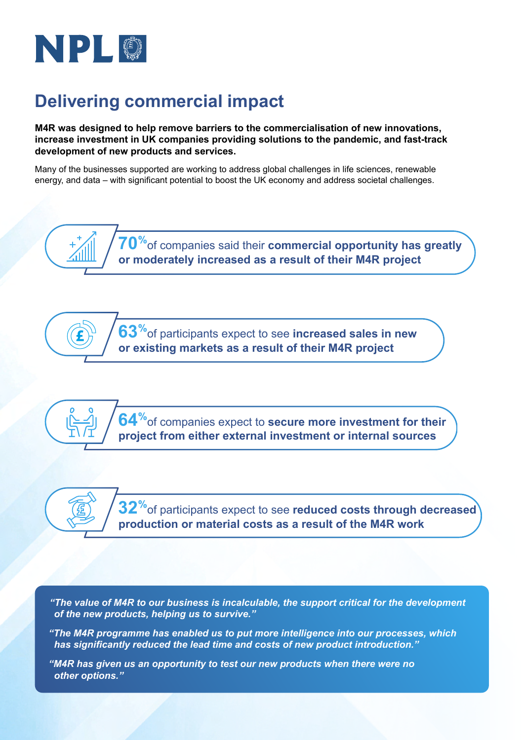

# **Delivering commercial impact**

**M4R was designed to help remove barriers to the commercialisation of new innovations, increase investment in UK companies providing solutions to the pandemic, and fast-track development of new products and services.**

Many of the businesses supported are working to address global challenges in life sciences, renewable energy, and data – with significant potential to boost the UK economy and address societal challenges.

> **70%**of companies said their **commercial opportunity has greatly or moderately increased as a result of their M4R project**

**63%**of participants expect to see **increased sales in new or existing markets as a result of their M4R project** 

**64%**of companies expect to **secure more investment for their project from either external investment or internal sources**

**32%**of participants expect to see **reduced costs through decreased production or material costs as a result of the M4R work** 

*"The value of M4R to our business is incalculable, the support critical for the development of the new products, helping us to survive."*

*"The M4R programme has enabled us to put more intelligence into our processes, which has significantly reduced the lead time and costs of new product introduction."*

*"M4R has given us an opportunity to test our new products when there were no other options."*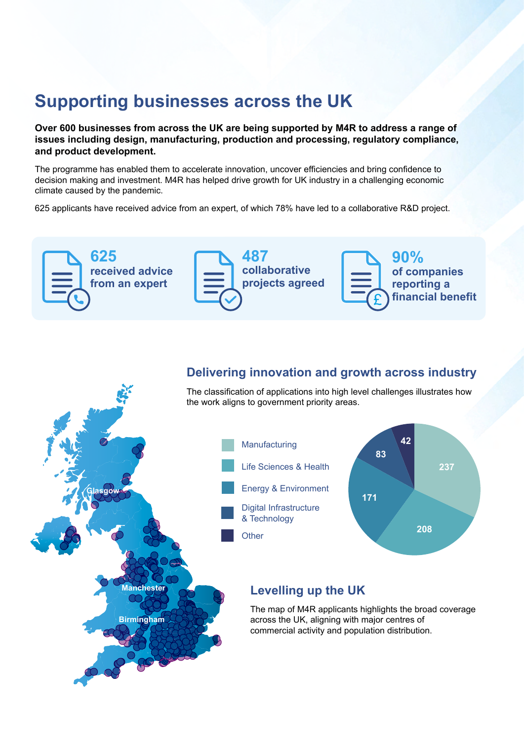## **Supporting businesses across the UK**

**Over 600 businesses from across the UK are being supported by M4R to address a range of issues including design, manufacturing, production and processing, regulatory compliance, and product development.**

The programme has enabled them to accelerate innovation, uncover efficiencies and bring confidence to decision making and investment. M4R has helped drive growth for UK industry in a challenging economic climate caused by the pandemic.

625 applicants have received advice from an expert, of which 78% have led to a collaborative R&D project.



### **Delivering innovation and growth across industry**

The classification of applications into high level challenges illustrates how the work aligns to government priority areas.